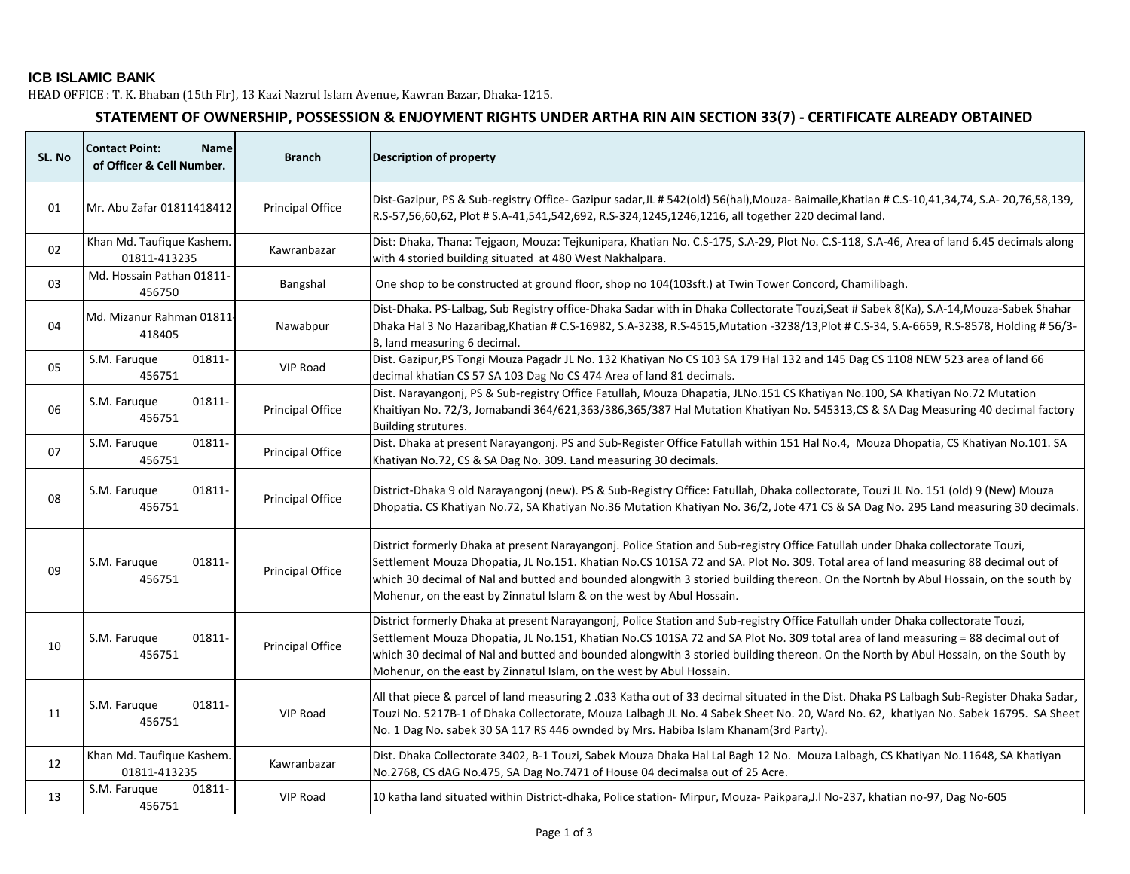## **ICB ISLAMIC BANK**

HEAD OFFICE : T. K. Bhaban (15th Flr), 13 Kazi Nazrul Islam Avenue, Kawran Bazar, Dhaka-1215.

## **STATEMENT OF OWNERSHIP, POSSESSION & ENJOYMENT RIGHTS UNDER ARTHA RIN AIN SECTION 33(7) - CERTIFICATE ALREADY OBTAINED**

| SL. No | <b>Contact Point:</b><br><b>Name</b><br>of Officer & Cell Number. | <b>Branch</b>           | <b>Description of property</b>                                                                                                                                                                                                                                                                                                                                                                                                                                                       |
|--------|-------------------------------------------------------------------|-------------------------|--------------------------------------------------------------------------------------------------------------------------------------------------------------------------------------------------------------------------------------------------------------------------------------------------------------------------------------------------------------------------------------------------------------------------------------------------------------------------------------|
| 01     | Mr. Abu Zafar 01811418412                                         | Principal Office        | Dist-Gazipur, PS & Sub-registry Office- Gazipur sadar, JL # 542(old) 56(hal), Mouza- Baimaile, Khatian # C.S-10,41,34,74, S.A-20,76,58,139,<br>R.S-57,56,60,62, Plot # S.A-41,541,542,692, R.S-324,1245,1246,1216, all together 220 decimal land.                                                                                                                                                                                                                                    |
| 02     | Khan Md. Taufique Kashem.<br>01811-413235                         | Kawranbazar             | Dist: Dhaka, Thana: Tejgaon, Mouza: Tejkunipara, Khatian No. C.S-175, S.A-29, Plot No. C.S-118, S.A-46, Area of land 6.45 decimals along<br>with 4 storied building situated at 480 West Nakhalpara.                                                                                                                                                                                                                                                                                 |
| 03     | Md. Hossain Pathan 01811-<br>456750                               | Bangshal                | One shop to be constructed at ground floor, shop no 104(103sft.) at Twin Tower Concord, Chamilibagh.                                                                                                                                                                                                                                                                                                                                                                                 |
| 04     | Md. Mizanur Rahman 01811.<br>418405                               | Nawabpur                | Dist-Dhaka. PS-Lalbag, Sub Registry office-Dhaka Sadar with in Dhaka Collectorate Touzi, Seat # Sabek 8(Ka), S.A-14, Mouza-Sabek Shahar<br>Dhaka Hal 3 No Hazaribag, Khatian # C.S-16982, S.A-3238, R.S-4515, Mutation -3238/13, Plot # C.S-34, S.A-6659, R.S-8578, Holding # 56/3-<br>B, land measuring 6 decimal.                                                                                                                                                                  |
| 05     | S.M. Faruque<br>01811-<br>456751                                  | <b>VIP Road</b>         | Dist. Gazipur, PS Tongi Mouza Pagadr JL No. 132 Khatiyan No CS 103 SA 179 Hal 132 and 145 Dag CS 1108 NEW 523 area of land 66<br>decimal khatian CS 57 SA 103 Dag No CS 474 Area of land 81 decimals.                                                                                                                                                                                                                                                                                |
| 06     | S.M. Farugue<br>01811-<br>456751                                  | <b>Principal Office</b> | Dist. Narayangonj, PS & Sub-registry Office Fatullah, Mouza Dhapatia, JLNo.151 CS Khatiyan No.100, SA Khatiyan No.72 Mutation<br>Khaitiyan No. 72/3, Jomabandi 364/621,363/386,365/387 Hal Mutation Khatiyan No. 545313,CS & SA Dag Measuring 40 decimal factory<br>Building strutures.                                                                                                                                                                                              |
| 07     | S.M. Faruque<br>01811-<br>456751                                  | Principal Office        | Dist. Dhaka at present Narayangonj. PS and Sub-Register Office Fatullah within 151 Hal No.4, Mouza Dhopatia, CS Khatiyan No.101. SA<br>Khatiyan No.72, CS & SA Dag No. 309. Land measuring 30 decimals.                                                                                                                                                                                                                                                                              |
| 08     | 01811-<br>S.M. Farugue<br>456751                                  | Principal Office        | District-Dhaka 9 old Narayangonj (new). PS & Sub-Registry Office: Fatullah, Dhaka collectorate, Touzi JL No. 151 (old) 9 (New) Mouza<br>Dhopatia. CS Khatiyan No.72, SA Khatiyan No.36 Mutation Khatiyan No. 36/2, Jote 471 CS & SA Dag No. 295 Land measuring 30 decimals.                                                                                                                                                                                                          |
| 09     | S.M. Faruque<br>01811-<br>456751                                  | Principal Office        | District formerly Dhaka at present Narayangonj. Police Station and Sub-registry Office Fatullah under Dhaka collectorate Touzi,<br>Settlement Mouza Dhopatia, JL No.151. Khatian No.CS 101SA 72 and SA. Plot No. 309. Total area of land measuring 88 decimal out of<br>which 30 decimal of Nal and butted and bounded alongwith 3 storied building thereon. On the Nortnh by Abul Hossain, on the south by<br>Mohenur, on the east by Zinnatul Islam & on the west by Abul Hossain. |
| 10     | S.M. Farugue<br>01811-<br>456751                                  | Principal Office        | District formerly Dhaka at present Narayangonj, Police Station and Sub-registry Office Fatullah under Dhaka collectorate Touzi,<br>Settlement Mouza Dhopatia, JL No.151, Khatian No.CS 101SA 72 and SA Plot No. 309 total area of land measuring = 88 decimal out of<br>which 30 decimal of Nal and butted and bounded alongwith 3 storied building thereon. On the North by Abul Hossain, on the South by<br>Mohenur, on the east by Zinnatul Islam, on the west by Abul Hossain.   |
| 11     | 01811-<br>S.M. Faruque<br>456751                                  | <b>VIP Road</b>         | All that piece & parcel of land measuring 2 .033 Katha out of 33 decimal situated in the Dist. Dhaka PS Lalbagh Sub-Register Dhaka Sadar,<br>Touzi No. 5217B-1 of Dhaka Collectorate, Mouza Lalbagh JL No. 4 Sabek Sheet No. 20, Ward No. 62, khatiyan No. Sabek 16795. SA Sheet<br>No. 1 Dag No. sabek 30 SA 117 RS 446 ownded by Mrs. Habiba Islam Khanam(3rd Party).                                                                                                              |
| 12     | Khan Md. Taufique Kashem.<br>01811-413235                         | Kawranbazar             | Dist. Dhaka Collectorate 3402, B-1 Touzi, Sabek Mouza Dhaka Hal Lal Bagh 12 No. Mouza Lalbagh, CS Khatiyan No.11648, SA Khatiyan<br>No.2768, CS dAG No.475, SA Dag No.7471 of House 04 decimalsa out of 25 Acre.                                                                                                                                                                                                                                                                     |
| 13     | S.M. Farugue<br>01811-<br>456751                                  | VIP Road                | 10 katha land situated within District-dhaka, Police station-Mirpur, Mouza-Paikpara,J.I No-237, khatian no-97, Dag No-605                                                                                                                                                                                                                                                                                                                                                            |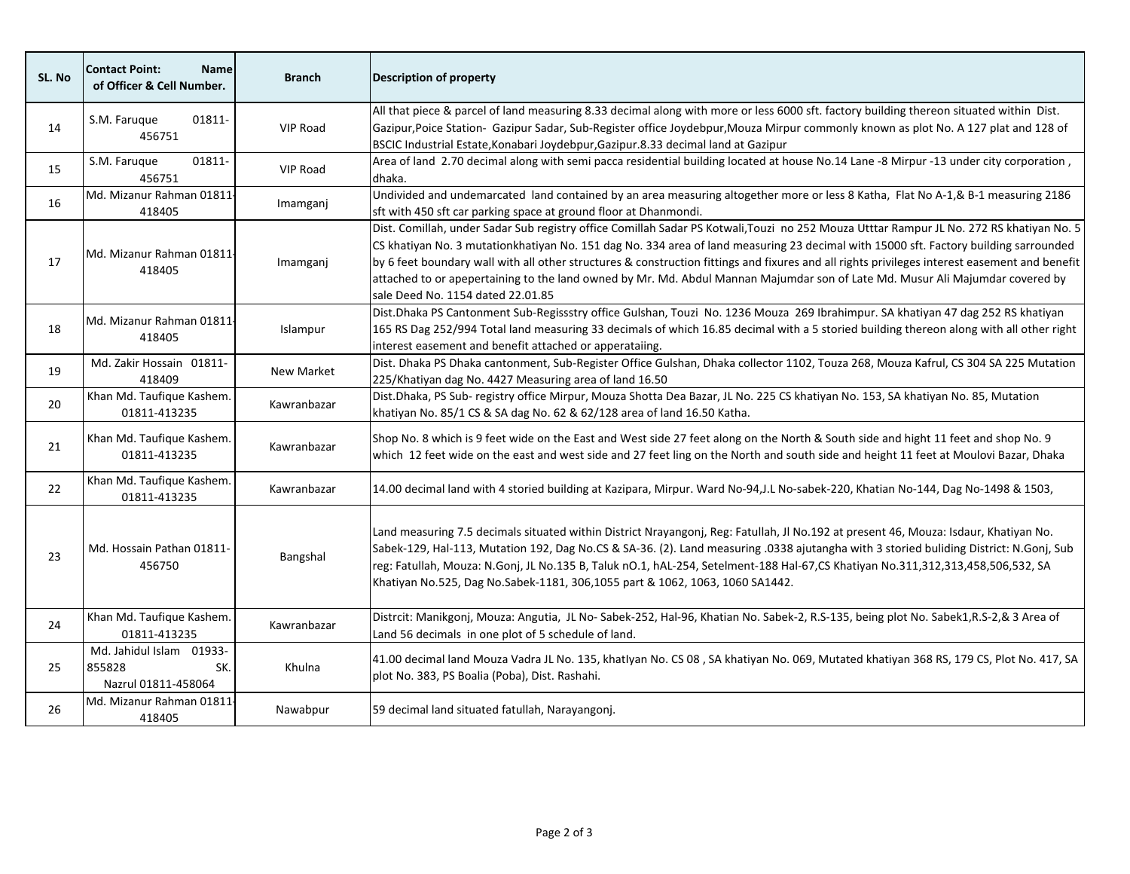| SL. No | <b>Contact Point:</b><br><b>Name</b><br>of Officer & Cell Number. | <b>Branch</b>     | <b>Description of property</b>                                                                                                                                                                                                                                                                                                                                                                                                                                                                                                                                                                          |
|--------|-------------------------------------------------------------------|-------------------|---------------------------------------------------------------------------------------------------------------------------------------------------------------------------------------------------------------------------------------------------------------------------------------------------------------------------------------------------------------------------------------------------------------------------------------------------------------------------------------------------------------------------------------------------------------------------------------------------------|
| 14     | S.M. Farugue<br>01811-<br>456751                                  | <b>VIP Road</b>   | All that piece & parcel of land measuring 8.33 decimal along with more or less 6000 sft. factory building thereon situated within Dist.<br>Gazipur, Poice Station- Gazipur Sadar, Sub-Register office Joydebpur, Mouza Mirpur commonly known as plot No. A 127 plat and 128 of<br>BSCIC Industrial Estate, Konabari Joydebpur, Gazipur.8.33 decimal land at Gazipur                                                                                                                                                                                                                                     |
| 15     | S.M. Faruque<br>01811-<br>456751                                  | <b>VIP Road</b>   | Area of land 2.70 decimal along with semi pacca residential building located at house No.14 Lane -8 Mirpur -13 under city corporation,<br>dhaka.                                                                                                                                                                                                                                                                                                                                                                                                                                                        |
| 16     | Md. Mizanur Rahman 01811-<br>418405                               | Imamganj          | Undivided and undemarcated land contained by an area measuring altogether more or less 8 Katha, Flat No A-1,& B-1 measuring 2186<br>sft with 450 sft car parking space at ground floor at Dhanmondi.                                                                                                                                                                                                                                                                                                                                                                                                    |
| 17     | Md. Mizanur Rahman 01811-<br>418405                               | Imamganj          | Dist. Comillah, under Sadar Sub registry office Comillah Sadar PS Kotwali, Touzi no 252 Mouza Utttar Rampur JL No. 272 RS khatiyan No. 5<br>CS khatiyan No. 3 mutationkhatiyan No. 151 dag No. 334 area of land measuring 23 decimal with 15000 sft. Factory building sarrounded<br>by 6 feet boundary wall with all other structures & construction fittings and fixures and all rights privileges interest easement and benefit<br>attached to or apepertaining to the land owned by Mr. Md. Abdul Mannan Majumdar son of Late Md. Musur Ali Majumdar covered by<br>sale Deed No. 1154 dated 22.01.85 |
| 18     | Md. Mizanur Rahman 01811<br>418405                                | Islampur          | Dist.Dhaka PS Cantonment Sub-Regissstry office Gulshan, Touzi No. 1236 Mouza 269 Ibrahimpur. SA khatiyan 47 dag 252 RS khatiyan<br>165 RS Dag 252/994 Total land measuring 33 decimals of which 16.85 decimal with a 5 storied building thereon along with all other right<br>interest easement and benefit attached or apperataiing.                                                                                                                                                                                                                                                                   |
| 19     | Md. Zakir Hossain 01811-<br>418409                                | <b>New Market</b> | Dist. Dhaka PS Dhaka cantonment, Sub-Register Office Gulshan, Dhaka collector 1102, Touza 268, Mouza Kafrul, CS 304 SA 225 Mutation<br>225/Khatiyan dag No. 4427 Measuring area of land 16.50                                                                                                                                                                                                                                                                                                                                                                                                           |
| 20     | Khan Md. Taufique Kashem.<br>01811-413235                         | Kawranbazar       | Dist.Dhaka, PS Sub- registry office Mirpur, Mouza Shotta Dea Bazar, JL No. 225 CS khatiyan No. 153, SA khatiyan No. 85, Mutation<br>khatiyan No. 85/1 CS & SA dag No. 62 & 62/128 area of land 16.50 Katha.                                                                                                                                                                                                                                                                                                                                                                                             |
| 21     | Khan Md. Taufique Kashem.<br>01811-413235                         | Kawranbazar       | Shop No. 8 which is 9 feet wide on the East and West side 27 feet along on the North & South side and hight 11 feet and shop No. 9<br>which 12 feet wide on the east and west side and 27 feet ling on the North and south side and height 11 feet at Moulovi Bazar, Dhaka                                                                                                                                                                                                                                                                                                                              |
| 22     | Khan Md. Taufique Kashem.<br>01811-413235                         | Kawranbazar       | 14.00 decimal land with 4 storied building at Kazipara, Mirpur. Ward No-94,J.L No-sabek-220, Khatian No-144, Dag No-1498 & 1503,                                                                                                                                                                                                                                                                                                                                                                                                                                                                        |
| 23     | Md. Hossain Pathan 01811-<br>456750                               | Bangshal          | Land measuring 7.5 decimals situated within District Nrayangonj, Reg: Fatullah, Jl No.192 at present 46, Mouza: Isdaur, Khatiyan No.<br>Sabek-129, Hal-113, Mutation 192, Dag No.CS & SA-36. (2). Land measuring .0338 ajutangha with 3 storied buliding District: N.Gonj, Sub<br>reg: Fatullah, Mouza: N.Gonj, JL No.135 B, Taluk nO.1, hAL-254, Setelment-188 Hal-67,CS Khatiyan No.311,312,313,458,506,532, SA<br>Khatiyan No.525, Dag No.Sabek-1181, 306,1055 part & 1062, 1063, 1060 SA1442.                                                                                                       |
| 24     | Khan Md. Taufique Kashem.<br>01811-413235                         | Kawranbazar       | Distrcit: Manikgonj, Mouza: Angutia, JL No-Sabek-252, Hal-96, Khatian No. Sabek-2, R.S-135, being plot No. Sabek1,R.S-2,& 3 Area of<br>Land 56 decimals in one plot of 5 schedule of land.                                                                                                                                                                                                                                                                                                                                                                                                              |
| 25     | Md. Jahidul Islam 01933-<br>855828<br>SK.<br>Nazrul 01811-458064  | Khulna            | 41.00 decimal land Mouza Vadra JL No. 135, khatlyan No. CS 08, SA khatiyan No. 069, Mutated khatiyan 368 RS, 179 CS, Plot No. 417, SA<br>plot No. 383, PS Boalia (Poba), Dist. Rashahi.                                                                                                                                                                                                                                                                                                                                                                                                                 |
| 26     | Md. Mizanur Rahman 01811-<br>418405                               | Nawabpur          | 59 decimal land situated fatullah, Narayangonj.                                                                                                                                                                                                                                                                                                                                                                                                                                                                                                                                                         |